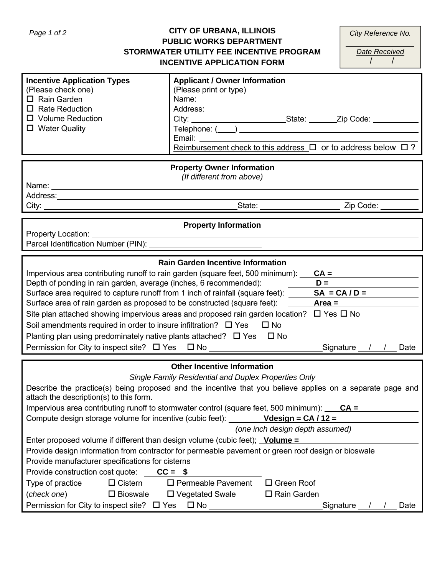# **CITY OF URBANA, ILLINOIS PUBLIC WORKS DEPARTMENT STORMWATER UTILITY FEE INCENTIVE PROGRAM INCENTIVE APPLICATION FORM**

| City Reference No. |  |
|--------------------|--|
| Date Received      |  |

| <b>Incentive Application Types</b><br>(Please check one)<br>$\Box$ Rain Garden<br>$\Box$ Rate Reduction<br>$\Box$ Volume Reduction<br>$\Box$ Water Quality                                                                                                                                                                                                                                                                                                                                                                                                                                                                                                                                                                                                                                                       | <b>Applicant / Owner Information</b><br>(Please print or type)<br>Email: Email: Email: Email: Email: Email: Email: Email: Email: Email: Email: Email: Email: Email: Email: Email: Email: Email: Email: Email: Email: Email: Email: Email: Email: Email: Email: Email: Email: Email: Email: Email |  |
|------------------------------------------------------------------------------------------------------------------------------------------------------------------------------------------------------------------------------------------------------------------------------------------------------------------------------------------------------------------------------------------------------------------------------------------------------------------------------------------------------------------------------------------------------------------------------------------------------------------------------------------------------------------------------------------------------------------------------------------------------------------------------------------------------------------|--------------------------------------------------------------------------------------------------------------------------------------------------------------------------------------------------------------------------------------------------------------------------------------------------|--|
|                                                                                                                                                                                                                                                                                                                                                                                                                                                                                                                                                                                                                                                                                                                                                                                                                  | Reimbursement check to this address $\Box$ or to address below $\Box$ ?                                                                                                                                                                                                                          |  |
|                                                                                                                                                                                                                                                                                                                                                                                                                                                                                                                                                                                                                                                                                                                                                                                                                  | <b>Property Owner Information</b><br>(If different from above)                                                                                                                                                                                                                                   |  |
|                                                                                                                                                                                                                                                                                                                                                                                                                                                                                                                                                                                                                                                                                                                                                                                                                  |                                                                                                                                                                                                                                                                                                  |  |
|                                                                                                                                                                                                                                                                                                                                                                                                                                                                                                                                                                                                                                                                                                                                                                                                                  |                                                                                                                                                                                                                                                                                                  |  |
|                                                                                                                                                                                                                                                                                                                                                                                                                                                                                                                                                                                                                                                                                                                                                                                                                  | <b>Property Information</b>                                                                                                                                                                                                                                                                      |  |
| <b>Property Location:</b>                                                                                                                                                                                                                                                                                                                                                                                                                                                                                                                                                                                                                                                                                                                                                                                        |                                                                                                                                                                                                                                                                                                  |  |
| <b>Rain Garden Incentive Information</b><br>Impervious area contributing runoff to rain garden (square feet, 500 minimum): $CA =$<br>Depth of ponding in rain garden, average (inches, 6 recommended):<br>$D =$<br>Surface area required to capture runoff from 1 inch of rainfall (square feet): $\_\_\_\_\_\_\_\_\_\_$<br>Surface area of rain garden as proposed to be constructed (square feet): _______ <b>Area =</b><br>Site plan attached showing impervious areas and proposed rain garden location? $\Box$ Yes $\Box$ No<br>Soil amendments required in order to insure infiltration? $\Box$ Yes $\Box$ No<br>Planting plan using predominately native plants attached? $\Box$ Yes $\Box$ No<br>Permission for City to inspect site? □ Yes □ No _______________________________Signature __/ _/ __ Date |                                                                                                                                                                                                                                                                                                  |  |
|                                                                                                                                                                                                                                                                                                                                                                                                                                                                                                                                                                                                                                                                                                                                                                                                                  | <b>Other Incentive Information</b>                                                                                                                                                                                                                                                               |  |
|                                                                                                                                                                                                                                                                                                                                                                                                                                                                                                                                                                                                                                                                                                                                                                                                                  | Single Family Residential and Duplex Properties Only                                                                                                                                                                                                                                             |  |
| attach the description(s) to this form.                                                                                                                                                                                                                                                                                                                                                                                                                                                                                                                                                                                                                                                                                                                                                                          | Describe the practice(s) being proposed and the incentive that you believe applies on a separate page and                                                                                                                                                                                        |  |
|                                                                                                                                                                                                                                                                                                                                                                                                                                                                                                                                                                                                                                                                                                                                                                                                                  | Impervious area contributing runoff to stormwater control (square feet, 500 minimum): $\overline{CA} =$<br>Compute design storage volume for incentive (cubic feet): $\angle$ Vdesign = CA/12 =                                                                                                  |  |
|                                                                                                                                                                                                                                                                                                                                                                                                                                                                                                                                                                                                                                                                                                                                                                                                                  | (one inch design depth assumed)                                                                                                                                                                                                                                                                  |  |
| Enter proposed volume if different than design volume (cubic feet); Volume =                                                                                                                                                                                                                                                                                                                                                                                                                                                                                                                                                                                                                                                                                                                                     |                                                                                                                                                                                                                                                                                                  |  |
|                                                                                                                                                                                                                                                                                                                                                                                                                                                                                                                                                                                                                                                                                                                                                                                                                  | Provide design information from contractor for permeable pavement or green roof design or bioswale                                                                                                                                                                                               |  |
| Provide manufacturer specifications for cisterns                                                                                                                                                                                                                                                                                                                                                                                                                                                                                                                                                                                                                                                                                                                                                                 |                                                                                                                                                                                                                                                                                                  |  |
| Provide construction cost quote: $\overline{CC} =$ \$                                                                                                                                                                                                                                                                                                                                                                                                                                                                                                                                                                                                                                                                                                                                                            |                                                                                                                                                                                                                                                                                                  |  |
| Type of practice<br>$\Box$ Cistern                                                                                                                                                                                                                                                                                                                                                                                                                                                                                                                                                                                                                                                                                                                                                                               | $\square$ Permeable Pavement<br>$\Box$ Green Roof                                                                                                                                                                                                                                                |  |
| (check one)<br>$\square$ Bioswale<br>Permission for City to inspect site? □ Yes □ No <u>______________________</u>                                                                                                                                                                                                                                                                                                                                                                                                                                                                                                                                                                                                                                                                                               | $\Box$ Rain Garden<br>$\Box$ Vegetated Swale<br>Signature / /<br>Date                                                                                                                                                                                                                            |  |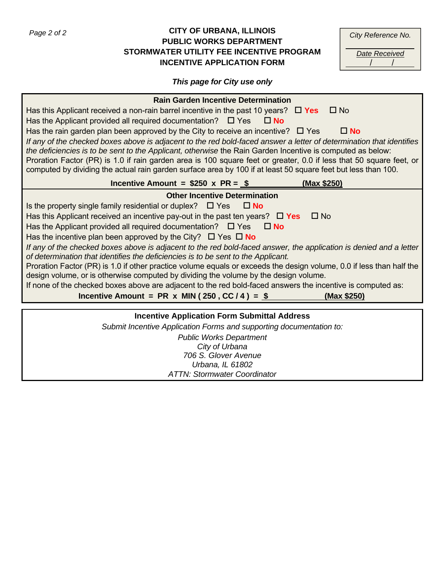## Page 2 of 2 **CITY OF URBANA, ILLINOIS** CITY CONSEQUENCE CAN CITY OF URBANA, ILLINOIS **PUBLIC WORKS DEPARTMENT STORMWATER UTILITY FEE INCENTIVE PROGRAM INCENTIVE APPLICATION FORM**

| City Reference No.   |  |
|----------------------|--|
| <b>Date Received</b> |  |
|                      |  |

# *This page for City use only*

| <b>Rain Garden Incentive Determination</b>                                                                                 |  |
|----------------------------------------------------------------------------------------------------------------------------|--|
| Has this Applicant received a non-rain barrel incentive in the past 10 years? $\Box$ Yes<br>$\Box$ No                      |  |
| Has the Applicant provided all required documentation? $\Box$ Yes $\Box$ No                                                |  |
| Has the rain garden plan been approved by the City to receive an incentive? $\Box$ Yes<br>$\Box$ No                        |  |
| If any of the checked boxes above is adjacent to the red bold-faced answer a letter of determination that identifies       |  |
| the deficiencies is to be sent to the Applicant, otherwise the Rain Garden Incentive is computed as below:                 |  |
| Proration Factor (PR) is 1.0 if rain garden area is 100 square feet or greater, 0.0 if less that 50 square feet, or        |  |
| computed by dividing the actual rain garden surface area by 100 if at least 50 square feet but less than 100.              |  |
| Incentive Amount = $$250 \times PR = $$ (Max \$250)                                                                        |  |
| <b>Other Incentive Determination</b>                                                                                       |  |
| Is the property single family residential or duplex? $\Box$ Yes $\Box$ No                                                  |  |
| Has this Applicant received an incentive pay-out in the past ten years? $\Box$ Yes<br>$\Box$ No                            |  |
| Has the Applicant provided all required documentation? $\Box$ Yes $\Box$ No                                                |  |
| Has the incentive plan been approved by the City? $\Box$ Yes $\Box$ No                                                     |  |
| If any of the checked boxes above is adjacent to the red bold-faced answer, the application is denied and a letter         |  |
| of determination that identifies the deficiencies is to be sent to the Applicant.                                          |  |
| Proration Factor (PR) is 1.0 if other practice volume equals or exceeds the design volume, 0.0 if less than half the       |  |
| design volume, or is otherwise computed by dividing the volume by the design volume.                                       |  |
| If none of the checked boxes above are adjacent to the red bold-faced answers the incentive is computed as:                |  |
| Incentive Amount = PR x MIN (250, CC/4) = $$$<br>(Max \$250)                                                               |  |
|                                                                                                                            |  |
| <b>Incentive Application Form Submittal Address</b><br>Submit Incontivo Application Forms and supporting documentation to: |  |

*Submit Incentive Application Forms and supporting documentation to: Public Works Department City of Urbana 706 S. Glover Avenue Urbana, IL 61802 ATTN: Stormwater Coordinator*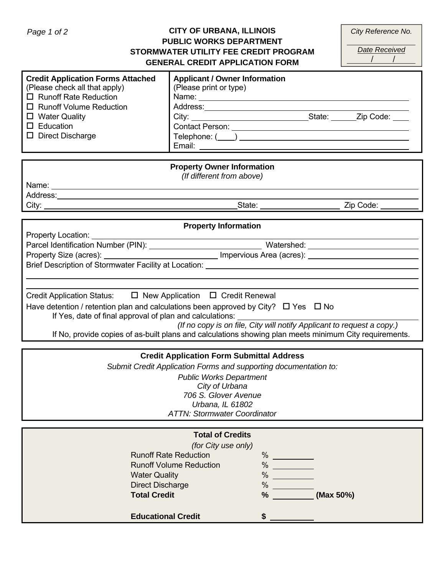# Page 1 of 2 **CITY OF URBANA, ILLINOIS CITY OF URBANA, ILLINOIS PUBLIC WORKS DEPARTMENT STORMWATER UTILITY FEE CREDIT PROGRAM GENERAL CREDIT APPLICATION FORM**

*Date Received* 

| <b>Credit Application Forms Attached</b><br>(Please check all that apply)<br>$\Box$ Runoff Rate Reduction<br>$\Box$ Runoff Volume Reduction<br>$\Box$ Water Quality<br>$\Box$ Education<br>$\Box$ Direct Discharge | <b>Applicant / Owner Information</b><br>(Please print or type)<br>Contact Person: New York Street Street Street Street Street Street Street Street Street Street Street Street Street Street Street Street Street Street Street Street Street Street Street Street Street Street Street Street S |  |
|--------------------------------------------------------------------------------------------------------------------------------------------------------------------------------------------------------------------|--------------------------------------------------------------------------------------------------------------------------------------------------------------------------------------------------------------------------------------------------------------------------------------------------|--|
|                                                                                                                                                                                                                    | <b>Property Owner Information</b>                                                                                                                                                                                                                                                                |  |
|                                                                                                                                                                                                                    | (If different from above)                                                                                                                                                                                                                                                                        |  |
|                                                                                                                                                                                                                    |                                                                                                                                                                                                                                                                                                  |  |
|                                                                                                                                                                                                                    |                                                                                                                                                                                                                                                                                                  |  |
|                                                                                                                                                                                                                    |                                                                                                                                                                                                                                                                                                  |  |
|                                                                                                                                                                                                                    |                                                                                                                                                                                                                                                                                                  |  |
|                                                                                                                                                                                                                    | <b>Property Information</b>                                                                                                                                                                                                                                                                      |  |
| Property Location: _________                                                                                                                                                                                       |                                                                                                                                                                                                                                                                                                  |  |
|                                                                                                                                                                                                                    |                                                                                                                                                                                                                                                                                                  |  |
|                                                                                                                                                                                                                    |                                                                                                                                                                                                                                                                                                  |  |
| Brief Description of Stormwater Facility at Location: ___________________________                                                                                                                                  |                                                                                                                                                                                                                                                                                                  |  |
|                                                                                                                                                                                                                    |                                                                                                                                                                                                                                                                                                  |  |
|                                                                                                                                                                                                                    |                                                                                                                                                                                                                                                                                                  |  |
| Credit Application Status: □ New Application □ Credit Renewal                                                                                                                                                      |                                                                                                                                                                                                                                                                                                  |  |
| Have detention / retention plan and calculations been approved by City? $\square$ Yes $\square$ No                                                                                                                 |                                                                                                                                                                                                                                                                                                  |  |
| If Yes, date of final approval of plan and calculations:                                                                                                                                                           |                                                                                                                                                                                                                                                                                                  |  |
| (If no copy is on file, City will notify Applicant to request a copy.)                                                                                                                                             |                                                                                                                                                                                                                                                                                                  |  |
|                                                                                                                                                                                                                    | If No, provide copies of as-built plans and calculations showing plan meets minimum City requirements.                                                                                                                                                                                           |  |
|                                                                                                                                                                                                                    |                                                                                                                                                                                                                                                                                                  |  |
|                                                                                                                                                                                                                    | <b>Credit Application Form Submittal Address</b>                                                                                                                                                                                                                                                 |  |
|                                                                                                                                                                                                                    | Submit Credit Application Forms and supporting documentation to:                                                                                                                                                                                                                                 |  |

*Public Works Department City of Urbana 706 S. Glover Avenue Urbana, IL 61802 ATTN: Stormwater Coordinator*

| <b>Total of Credits</b>        |                            |
|--------------------------------|----------------------------|
| (for City use only)            |                            |
| <b>Runoff Rate Reduction</b>   | $\frac{0}{0}$              |
| <b>Runoff Volume Reduction</b> | $\frac{0}{0}$              |
| <b>Water Quality</b>           | $\frac{0}{6}$              |
| <b>Direct Discharge</b>        | $\frac{0}{6}$              |
| <b>Total Credit</b>            | $\frac{9}{6}$<br>(Max 50%) |
| <b>Educational Credit</b>      |                            |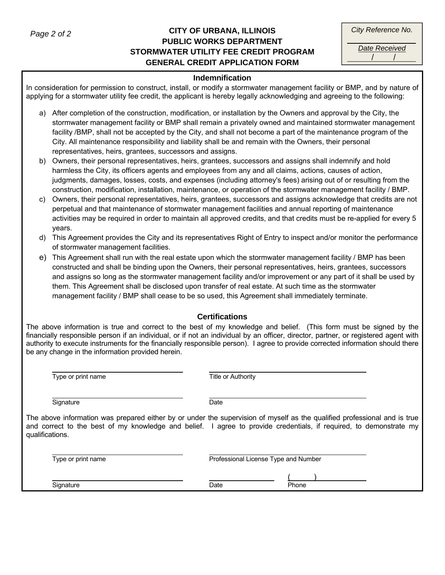## **CITY OF URBANA, ILLINOIS**  *Page 2 of 2 City Reference No.*  **PUBLIC WORKS DEPARTMENT STORMWATER UTILITY FEE CREDIT PROGRAM GENERAL CREDIT APPLICATION FORM**

*Date Received* 

/ /

#### **Indemnification**

In consideration for permission to construct, install, or modify a stormwater management facility or BMP, and by nature of applying for a stormwater utility fee credit, the applicant is hereby legally acknowledging and agreeing to the following:

- a) After completion of the construction, modification, or installation by the Owners and approval by the City, the stormwater management facility or BMP shall remain a privately owned and maintained stormwater management facility /BMP, shall not be accepted by the City, and shall not become a part of the maintenance program of the City. All maintenance responsibility and liability shall be and remain with the Owners, their personal representatives, heirs, grantees, successors and assigns.
- b) Owners, their personal representatives, heirs, grantees, successors and assigns shall indemnify and hold harmless the City, its officers agents and employees from any and all claims, actions, causes of action, judgments, damages, losses, costs, and expenses (including attorney's fees) arising out of or resulting from the construction, modification, installation, maintenance, or operation of the stormwater management facility / BMP.
- c) Owners, their personal representatives, heirs, grantees, successors and assigns acknowledge that credits are not perpetual and that maintenance of stormwater management facilities and annual reporting of maintenance activities may be required in order to maintain all approved credits, and that credits must be re-applied for every 5 years.
- d) This Agreement provides the City and its representatives Right of Entry to inspect and/or monitor the performance of stormwater management facilities.
- e) This Agreement shall run with the real estate upon which the stormwater management facility / BMP has been constructed and shall be binding upon the Owners, their personal representatives, heirs, grantees, successors and assigns so long as the stormwater management facility and/or improvement or any part of it shall be used by them. This Agreement shall be disclosed upon transfer of real estate. At such time as the stormwater management facility / BMP shall cease to be so used, this Agreement shall immediately terminate.

### **Certifications**

The above information is true and correct to the best of my knowledge and belief. (This form must be signed by the financially responsible person if an individual, or if not an individual by an officer, director, partner, or registered agent with authority to execute instruments for the financially responsible person). I agree to provide corrected information should there be any change in the information provided herein.

|                 | Type or print name                                                                                                                                                                                                                              | <b>Title or Authority</b>            |       |
|-----------------|-------------------------------------------------------------------------------------------------------------------------------------------------------------------------------------------------------------------------------------------------|--------------------------------------|-------|
|                 | Signature                                                                                                                                                                                                                                       | Date                                 |       |
| qualifications. | The above information was prepared either by or under the supervision of myself as the qualified professional and is true<br>and correct to the best of my knowledge and belief. I agree to provide credentials, if required, to demonstrate my |                                      |       |
|                 | Type or print name                                                                                                                                                                                                                              | Professional License Type and Number |       |
|                 | Signature                                                                                                                                                                                                                                       | Date                                 | Phone |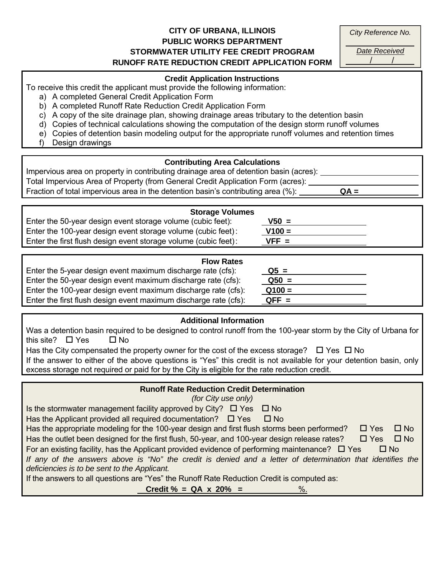# **CITY OF URBANA, ILLINOIS PUBLIC WORKS DEPARTMENT STORMWATER UTILITY FEE CREDIT PROGRAM RUNOFF RATE REDUCTION CREDIT APPLICATION FORM**

*City Reference No.* 

*Date Received* 

/ /

#### **Credit Application Instructions**

To receive this credit the applicant must provide the following information:

- a) A completed General Credit Application Form
- b) A completed Runoff Rate Reduction Credit Application Form
- c) A copy of the site drainage plan, showing drainage areas tributary to the detention basin
- d) Copies of technical calculations showing the computation of the design storm runoff volumes
- e) Copies of detention basin modeling output for the appropriate runoff volumes and retention times
- f) Design drawings

# **Contributing Area Calculations**

| Impervious area on property in contributing drainage area of detention basin (acres): |        |  |
|---------------------------------------------------------------------------------------|--------|--|
| Total Impervious Area of Property (from General Credit Application Form (acres):      |        |  |
| Fraction of total impervious area in the detention basin's contributing area (%):     | $QA =$ |  |

| <b>Storage Volumes</b>                                          |          |  |
|-----------------------------------------------------------------|----------|--|
| Enter the 50-year design event storage volume (cubic feet):     | $V50 =$  |  |
| Enter the 100-year design event storage volume (cubic feet):    | $V100 =$ |  |
| Enter the first flush design event storage volume (cubic feet): | $VFF =$  |  |

| <b>Flow Rates</b>                                                |          |  |
|------------------------------------------------------------------|----------|--|
| Enter the 5-year design event maximum discharge rate (cfs):      | $Q5 =$   |  |
| Enter the 50-year design event maximum discharge rate (cfs):     | $Q50 =$  |  |
| Enter the 100-year design event maximum discharge rate (cfs):    | $Q100 =$ |  |
| Enter the first flush design event maximum discharge rate (cfs): | $QFF =$  |  |

## **Additional Information**

| Was a detention basin required to be designed to control runoff from the 100-year storm by the City of Urbana for   |
|---------------------------------------------------------------------------------------------------------------------|
| this site? $\Box$ Yes<br>ΠNo.                                                                                       |
| Has the City compensated the property owner for the cost of the excess storage? $\Box$ Yes $\Box$ No                |
| If the answer to either of the above questions is "Yes" this credit is not available for your detention basin, only |
| excess storage not required or paid for by the City is eligible for the rate reduction credit.                      |
|                                                                                                                     |

## **Runoff Rate Reduction Credit Determination**

*(for City use only)* 

Is the stormwater management facility approved by City?  $\Box$  Yes  $\Box$  No

Has the Applicant provided all required documentation?  $\Box$  Yes  $\Box$  No

| Has the appropriate modeling for the 100-year design and first flush storms been performed? $\Box$ Yes $\Box$ No |            |  |
|------------------------------------------------------------------------------------------------------------------|------------|--|
| Has the outlet been designed for the first flush, 50-year, and 100-year design release rates?                    | □ Yes □ No |  |

For an existing facility, has the Applicant provided evidence of performing maintenance?  $\Box$  Yes  $\Box$  No

*If any of the answers above is "No" the credit is denied and a letter of determination that identifies the deficiencies is to be sent to the Applicant.* 

If the answers to all questions are "Yes" the Runoff Rate Reduction Credit is computed as:

**Credit % = QA x 20% =**  $\frac{\%}{\%}$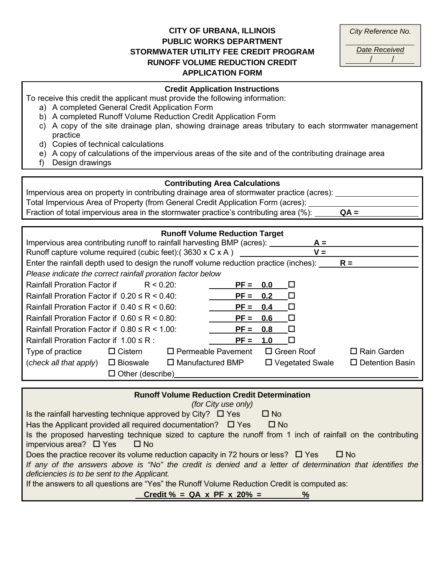## **CITY OF URBANA, ILLINOIS PUBLIC WORKS DEPARTMENT STORMWATER UTILITY FEE CREDIT PROGRAM RUNOFF VOLUME REDUCTION CREDIT APPLICATION FORM**

| City Reference No.   |  |
|----------------------|--|
| <b>Date Received</b> |  |
|                      |  |

#### **Credit Application Instructions**

To receive this credit the applicant must provide the following information:

- a) A completed General Credit Application Form
- b) A completed Runoff Volume Reduction Credit Application Form
- c) A copy of the site drainage plan, showing drainage areas tributary to each stormwater management practice
- d) Copies of technical calculations
- e) A copy of calculations of the impervious areas of the site and of the contributing drainage area
- f) Design drawings

### **Contributing Area Calculations**

Impervious area on property in contributing drainage area of stormwater practice (acres): Total Impervious Area of Property (from General Credit Application Form (acres): Fraction of total impervious area in the stormwater practice's contributing area (%): **QA =**

| Impervious area contributing runoff to rainfall harvesting BMP (acres):                                 |                         |                         | <b>Runoff Volume Reduction Target</b> |     | $A =$                  |                        |
|---------------------------------------------------------------------------------------------------------|-------------------------|-------------------------|---------------------------------------|-----|------------------------|------------------------|
| Runoff capture volume required (cubic feet): (3630 x C x A)                                             |                         |                         |                                       |     | $V =$                  |                        |
| Enter the rainfall depth used to design the runoff volume reduction practice (inches): $\overline{R} =$ |                         |                         |                                       |     |                        |                        |
| Please indicate the correct rainfall proration factor below                                             |                         |                         |                                       |     |                        |                        |
| Rainfall Proration Factor if                                                                            | $R < 0.20$ :            |                         | $PF =$                                | 0.0 | $\sqcup$               |                        |
| Rainfall Proration Factor if $0.20 \le R \le 0.40$ :                                                    |                         |                         | $PF = 0.2$                            |     | $\Box$                 |                        |
| Rainfall Proration Factor if $0.40 \leq R \leq 0.60$                                                    |                         |                         | $PF = 0.4$                            |     | П                      |                        |
| Rainfall Proration Factor if $0.60 \leq R \leq 0.80$                                                    |                         |                         | $PF =$                                | 0.6 | $\Box$                 |                        |
| Rainfall Proration Factor if $0.80 \leq R \leq 1.00$ :                                                  |                         |                         | $PF =$                                | 0.8 | $\Box$                 |                        |
| Rainfall Proration Factor if $1.00 \le R$ :                                                             |                         |                         | $PF =$                                | 1.0 | $\perp$                |                        |
| Type of practice                                                                                        | $\Box$ Cistern          |                         | $\Box$ Permeable Pavement             |     | $\Box$ Green Roof      | $\Box$ Rain Garden     |
| (check all that apply)                                                                                  | $\square$ Bioswale      | $\Box$ Manufactured BMP |                                       |     | $\Box$ Vegetated Swale | $\Box$ Detention Basin |
|                                                                                                         | $\Box$ Other (describe) |                         |                                       |     |                        |                        |

| <b>Runoff Volume Reduction Credit Determination</b>                                                                                                        |
|------------------------------------------------------------------------------------------------------------------------------------------------------------|
| (for City use only)                                                                                                                                        |
| Is the rainfall harvesting technique approved by City? $\square$ Yes<br>$\Box$ No                                                                          |
| Has the Applicant provided all required documentation? $\Box$ Yes<br>$\square$ No                                                                          |
| Is the proposed harvesting technique sized to capture the runoff from 1 inch of rainfall on the contributing<br>impervious area? $\Box$ Yes<br>□ No        |
| Does the practice recover its volume reduction capacity in 72 hours or less? $\square$ Yes<br>$\Box$ No                                                    |
| If any of the answers above is "No" the credit is denied and a letter of determination that identifies the<br>deficiencies is to be sent to the Applicant. |
| If the answers to all questions are "Yes" the Runoff Volume Reduction Credit is computed as:                                                               |
| Credit $% = QA \times PF \times 20% =$                                                                                                                     |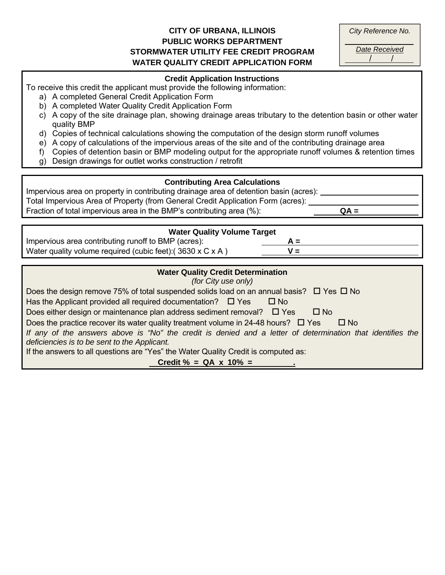## **CITY OF URBANA, ILLINOIS PUBLIC WORKS DEPARTMENT STORMWATER UTILITY FEE CREDIT PROGRAM WATER QUALITY CREDIT APPLICATION FORM**

*City Reference No. Date Received* 

/ /

# **Credit Application Instructions**  To receive this credit the applicant must provide the following information: a) A completed General Credit Application Form b) A completed Water Quality Credit Application Form c) A copy of the site drainage plan, showing drainage areas tributary to the detention basin or other water quality BMP d) Copies of technical calculations showing the computation of the design storm runoff volumes e) A copy of calculations of the impervious areas of the site and of the contributing drainage area f) Copies of detention basin or BMP modeling output for the appropriate runoff volumes & retention times g) Design drawings for outlet works construction / retrofit **Contributing Area Calculations** Impervious area on property in contributing drainage area of detention basin (acres): Total Impervious Area of Property (from General Credit Application Form (acres): Fraction of total impervious area in the BMP's contributing area (%): **QA = Water Quality Volume Target** Impervious area contributing runoff to BMP (acres): **A =** Water quality volume required (cubic feet):  $(3630 \times C \times A)$  **V** = **Water Quality Credit Determination**  *(for City use only)*  Does the design remove 75% of total suspended solids load on an annual basis?  $\Box$  Yes  $\Box$  No Has the Applicant provided all required documentation?  $\Box$  Yes  $\Box$  No Does either design or maintenance plan address sediment removal?  $\Box$  Yes  $\Box$  No Does the practice recover its water quality treatment volume in 24-48 hours?  $\Box$  Yes  $\Box$  No *If any of the answers above is "No" the credit is denied and a letter of determination that identifies the deficiencies is to be sent to the Applicant.*  If the answers to all questions are "Yes" the Water Quality Credit is computed as:  $Credit % = QA × 10% =$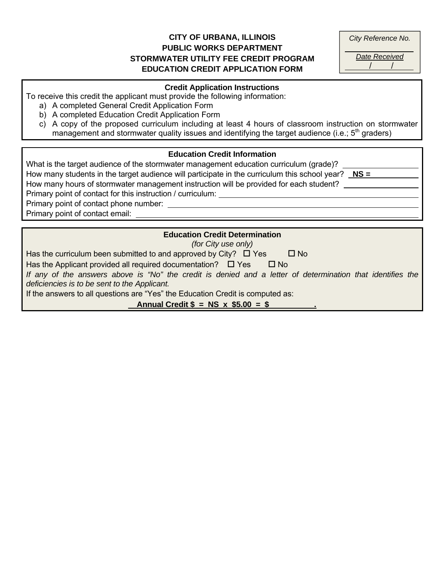## **CITY OF URBANA, ILLINOIS PUBLIC WORKS DEPARTMENT STORMWATER UTILITY FEE CREDIT PROGRAM EDUCATION CREDIT APPLICATION FORM**

| City Reference No. |
|--------------------|
|--------------------|

*Date Received*   $\frac{1}{2}$ 

## **Credit Application Instructions**

To receive this credit the applicant must provide the following information:

- a) A completed General Credit Application Form
- b) A completed Education Credit Application Form
- c) A copy of the proposed curriculum including at least 4 hours of classroom instruction on stormwater management and stormwater quality issues and identifying the target audience (i.e.;  $5<sup>th</sup>$  graders)

### **Education Credit Information**

What is the target audience of the stormwater management education curriculum (grade)? How many students in the target audience will participate in the curriculum this school year? **NS =** How many hours of stormwater management instruction will be provided for each student? Primary point of contact for this instruction / curriculum: Primary point of contact phone number: Primary point of contact email:

#### **Education Credit Determination**

*(for City use only)* 

Has the curriculum been submitted to and approved by City?  $\Box$  Yes  $\Box$  No

Has the Applicant provided all required documentation?  $\Box$  Yes  $\Box$  No

*If any of the answers above is "No" the credit is denied and a letter of determination that identifies the deficiencies is to be sent to the Applicant.* 

If the answers to all questions are "Yes" the Education Credit is computed as:

**Annual Credit \$ = NS x \$5.00 = \$ .**